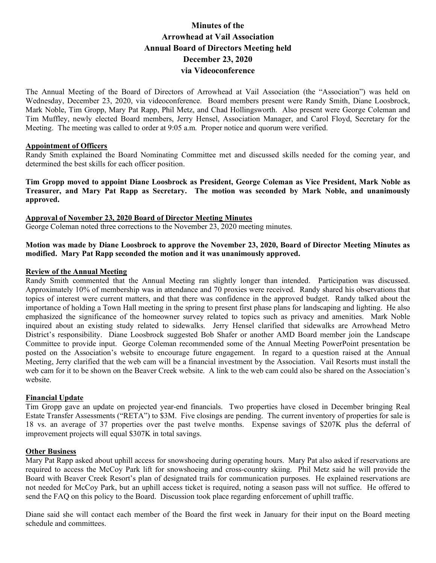# **Minutes of the Arrowhead at Vail Association Annual Board of Directors Meeting held December 23, 2020 via Videoconference**

The Annual Meeting of the Board of Directors of Arrowhead at Vail Association (the "Association") was held on Wednesday, December 23, 2020, via videoconference. Board members present were Randy Smith, Diane Loosbrock, Mark Noble, Tim Gropp, Mary Pat Rapp, Phil Metz, and Chad Hollingsworth. Also present were George Coleman and Tim Muffley, newly elected Board members, Jerry Hensel, Association Manager, and Carol Floyd, Secretary for the Meeting. The meeting was called to order at 9:05 a.m*.* Proper notice and quorum were verified.

# **Appointment of Officers**

Randy Smith explained the Board Nominating Committee met and discussed skills needed for the coming year, and determined the best skills for each officer position.

**Tim Gropp moved to appoint Diane Loosbrock as President, George Coleman as Vice President, Mark Noble as Treasurer, and Mary Pat Rapp as Secretary. The motion was seconded by Mark Noble, and unanimously approved.**

**Approval of November 23, 2020 Board of Director Meeting Minutes**

George Coleman noted three corrections to the November 23, 2020 meeting minutes.

## **Motion was made by Diane Loosbrock to approve the November 23, 2020, Board of Director Meeting Minutes as modified. Mary Pat Rapp seconded the motion and it was unanimously approved.**

### **Review of the Annual Meeting**

Randy Smith commented that the Annual Meeting ran slightly longer than intended. Participation was discussed. Approximately 10% of membership was in attendance and 70 proxies were received. Randy shared his observations that topics of interest were current matters, and that there was confidence in the approved budget. Randy talked about the importance of holding a Town Hall meeting in the spring to present first phase plans for landscaping and lighting. He also emphasized the significance of the homeowner survey related to topics such as privacy and amenities. Mark Noble inquired about an existing study related to sidewalks. Jerry Hensel clarified that sidewalks are Arrowhead Metro District's responsibility. Diane Loosbrock suggested Bob Shafer or another AMD Board member join the Landscape Committee to provide input. George Coleman recommended some of the Annual Meeting PowerPoint presentation be posted on the Association's website to encourage future engagement. In regard to a question raised at the Annual Meeting, Jerry clarified that the web cam will be a financial investment by the Association. Vail Resorts must install the web cam for it to be shown on the Beaver Creek website. A link to the web cam could also be shared on the Association's website.

#### **Financial Update**

Tim Gropp gave an update on projected year-end financials. Two properties have closed in December bringing Real Estate Transfer Assessments ("RETA") to \$3M. Five closings are pending. The current inventory of properties for sale is 18 vs. an average of 37 properties over the past twelve months. Expense savings of \$207K plus the deferral of improvement projects will equal \$307K in total savings.

#### **Other Business**

Mary Pat Rapp asked about uphill access for snowshoeing during operating hours. Mary Pat also asked if reservations are required to access the McCoy Park lift for snowshoeing and cross-country skiing. Phil Metz said he will provide the Board with Beaver Creek Resort's plan of designated trails for communication purposes. He explained reservations are not needed for McCoy Park, but an uphill access ticket is required, noting a season pass will not suffice. He offered to send the FAQ on this policy to the Board. Discussion took place regarding enforcement of uphill traffic.

Diane said she will contact each member of the Board the first week in January for their input on the Board meeting schedule and committees.